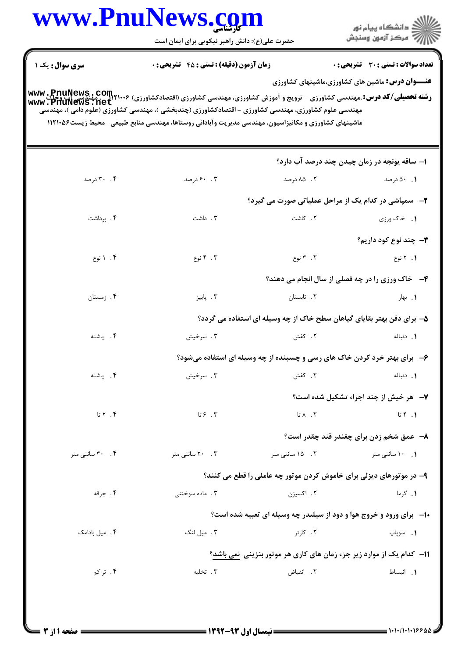|                                 | حضرت علی(ع): دانش راهبر نیکویی برای ایمان است                                                                                                                                                                                                                                                                                                              |                                                                        | ِ<br>∭ دانشڪاه پيام نور<br>∭ مرڪز آزمون وسنڊش |
|---------------------------------|------------------------------------------------------------------------------------------------------------------------------------------------------------------------------------------------------------------------------------------------------------------------------------------------------------------------------------------------------------|------------------------------------------------------------------------|-----------------------------------------------|
| سری سوال : یک ۱                 | <b>زمان آزمون (دقیقه) : تستی : 45 گشریحی : 0</b>                                                                                                                                                                                                                                                                                                           |                                                                        | <b>تعداد سوالات : تستی : 30 ٪ تشریحی : 0</b>  |
|                                 | <b>رشته تحصیلی/کد درس: .م</b> هندسی کشاورزی - ترویج و آموزش کشاورزی، مهندسی کشاورزی (اقتصادکشاورزی) www .PnuNews .com<br>Www . PnuNews .net<br>مهندسی علوم کشاورزی، مهندسی کشاورزی - اقتصادکشاورزی (چندبخشی )، مهندسی کشاورزی (علوم دامی )، مهندسی<br>ماشینهای کشاورزی و مکانیزاسیون، مهندسی مدیریت وآبادانی روستاها، مهندسی منابع طبیعی -محیط زیست۱۱۲۱۰۵۶ | <b>عنـــوان درس:</b> ماشین های کشاورزی،ماشینهای کشاورزی                |                                               |
|                                 |                                                                                                                                                                                                                                                                                                                                                            |                                                                        | ۱– ساقه یونجه در زمان چیدن چند درصد آب دارد؟  |
| ۰.۴ درصد                        | ۰. ۶۰ درصد                                                                                                                                                                                                                                                                                                                                                 | ۲. ۸۵ درصد                                                             | ۰۹ درصد                                       |
|                                 |                                                                                                                                                                                                                                                                                                                                                            | <b>۲</b> - سمپاشی در کدام یک از مراحل عملیاتی صورت می گیرد؟            |                                               |
| ۰۴ برداشت                       | ۰۳. داشت                                                                                                                                                                                                                                                                                                                                                   | ٢. كاشت                                                                | ۰۱ خاک ورزی                                   |
|                                 |                                                                                                                                                                                                                                                                                                                                                            |                                                                        | <b>۳</b> — چند نوع کود داریم؟                 |
| ۰۴ انوع                         | ۰۳ نوع                                                                                                                                                                                                                                                                                                                                                     | ۲. ۳ نوع                                                               | ۰۱ نوع                                        |
|                                 |                                                                                                                                                                                                                                                                                                                                                            | <b>۴</b> - خاک ورزی را در چه فصلی از سال انجام می دهند؟                |                                               |
| ۴. زمستان                       | ۰۳ پاییز                                                                                                                                                                                                                                                                                                                                                   | ۲. تابستان                                                             | ۰۱. بهار                                      |
|                                 |                                                                                                                                                                                                                                                                                                                                                            | ۵– برای دفن بهتر بقایای گیاهان سطح خاک از چه وسیله ای استفاده می گردد؟ |                                               |
| ۴. پاشنه                        | ۰۳ سرخیش                                                                                                                                                                                                                                                                                                                                                   | ۲. کفش                                                                 | ٠١. دنباله                                    |
|                                 | ۶- برای بهتر خرد کردن خاک های رسی و چسبنده از چه وسیله ای استفاده میشود؟                                                                                                                                                                                                                                                                                   |                                                                        |                                               |
| ۴. ياشنه                        | ۰۳ سرخیش                                                                                                                                                                                                                                                                                                                                                   | ٢. كفش                                                                 | 1. دنباله                                     |
|                                 |                                                                                                                                                                                                                                                                                                                                                            |                                                                        | <b>٧</b> - هر خیش از چند اجزاء تشکیل شده است؟ |
| $\mathfrak{r}$ . $\mathfrak{r}$ | ۳. ۶تا                                                                                                                                                                                                                                                                                                                                                     | ۲. ۸تا                                                                 | $I. 9$ تا                                     |
|                                 |                                                                                                                                                                                                                                                                                                                                                            |                                                                        | ٨− عمق شخم زدن برای چغندر قند چقدر است؟       |
| ۰۴ سانتی متر                    | ۰.۳ ۲۰ سانتی متر                                                                                                                                                                                                                                                                                                                                           | ۲. ۱۵ سانتی متر                                                        | ۰. ۱۰ سانتی متر                               |
|                                 |                                                                                                                                                                                                                                                                                                                                                            | ۹- در موتورهای دیزلی برای خاموش کردن موتور چه عاملی را قطع می کنند؟    |                                               |
| ۰۴ جرقه                         | ۰۳ ماده سوختنی                                                                                                                                                                                                                                                                                                                                             | ۲. اکسیژن                                                              | ۰۱ گرما                                       |
|                                 |                                                                                                                                                                                                                                                                                                                                                            | ۱۰- برای ورود و خروج هوا و دود از سیلندر چه وسیله ای تعبیه شده است؟    |                                               |
| ۰۴ میل بادامک                   | ۴ . میل لنگ                                                                                                                                                                                                                                                                                                                                                | ۲. کارتر                                                               | <b>۱.</b> سوپاپ                               |
|                                 |                                                                                                                                                                                                                                                                                                                                                            | 11- کدام یک از موارد زیر جزء زمان های کاری هر موتور بنزینی نمی باشد؟   |                                               |
| ۴. تراکم                        | ۰۳ تخلیه                                                                                                                                                                                                                                                                                                                                                   | ٢. انقباض                                                              | ١. انبساط                                     |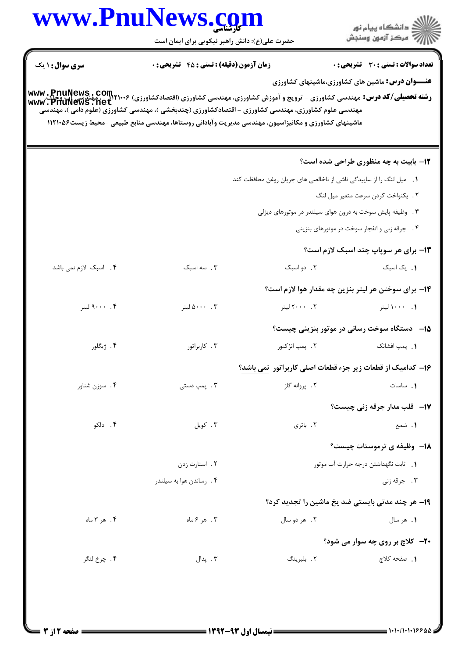|                        | حضرت علی(ع): دانش راهبر نیکویی برای ایمان است    |                                                                                                                                                                                                                                                                                                                                                                                                                                                             | ڪ دانشڪاه پيام نور<br>7- مرڪز آزمون وسنڊش               |
|------------------------|--------------------------------------------------|-------------------------------------------------------------------------------------------------------------------------------------------------------------------------------------------------------------------------------------------------------------------------------------------------------------------------------------------------------------------------------------------------------------------------------------------------------------|---------------------------------------------------------|
| <b>سری سوال : ۱ یک</b> | <b>زمان آزمون (دقیقه) : تستی : 45 گشریحی : 0</b> |                                                                                                                                                                                                                                                                                                                                                                                                                                                             | <b>تعداد سوالات : تستی : 30 ٪ تشریحی : 0</b>            |
|                        |                                                  | <b>رشته تحصیلی/کد درس:</b> مهندسی کشاورزی - ترویج و آموزش کشاورزی، مهندسی کشاورزی (اقتصادکشاورزی) ۲۱۰۰۶–۲۰۰۰ مهندسی آب وخاک، www. PnuNews<br>و <b>شته تحصیلی/کد درس:</b> مهندسی کشاورزی - ترویج و آموزش کشاورزی، مهندسی کشاورزی (اقتصادکشاو<br>مهندسی علوم کشاورزی، مهندسی کشاورزی – اقتصادکشاورزی (چندبخشی )، مهندسی کشاورزی (علوم دامی )، مهندسی<br>ماشینهای کشاورزی و مکانیزاسیون، مهندسی مدیریت وآبادانی روستاها، مهندسی منابع طبیعی -محیط زیست۵۶ ۱۱۲۱۰ | <b>عنـــوان درس:</b> ماشین های کشاورزی،ماشینهای کشاورزی |
|                        |                                                  |                                                                                                                                                                                                                                                                                                                                                                                                                                                             | 12- بابیت به چه منظوری طراحی شده است؟                   |
|                        |                                                  | 1. میل لنگ را از ساییدگی ناشی از ناخالصی های جریان روغن محافظت کند                                                                                                                                                                                                                                                                                                                                                                                          |                                                         |
|                        |                                                  |                                                                                                                                                                                                                                                                                                                                                                                                                                                             | ٢. يكنواخت كردن سرعت متغير ميل لنگ                      |
|                        |                                                  | ۳. وظیفه پایش سوخت به درون هوای سیلندر در موتورهای دیزلی                                                                                                                                                                                                                                                                                                                                                                                                    |                                                         |
|                        |                                                  |                                                                                                                                                                                                                                                                                                                                                                                                                                                             | ۴. جرقه زنی و انفجار سوخت در موتورهای بنزینی            |
|                        |                                                  |                                                                                                                                                                                                                                                                                                                                                                                                                                                             | <b>۱۳</b> - برای هر سوپاپ چند اسبک لازم است؟            |
| ۴. اسبک لازم نمی باشد  | ۰۳ سه اسبک                                       | ٢. دو اسبک                                                                                                                                                                                                                                                                                                                                                                                                                                                  | ٠. یک اسبک                                              |
|                        |                                                  | ۱۴– برای سوختن هر لیتر بنزین چه مقدار هوا لازم است؟                                                                                                                                                                                                                                                                                                                                                                                                         |                                                         |
| ۰۰ .۰۰۰ ليتر           | ۰۰۳ نیتر                                         | 1. ۱۰۰۰لیتر است. ۲۰۰۰ ۲. ۲۰۰۰لیتر                                                                                                                                                                                                                                                                                                                                                                                                                           |                                                         |
|                        |                                                  |                                                                                                                                                                                                                                                                                                                                                                                                                                                             | <b>۱۵</b> — دستگاه سوخت رسانی در موتور بنزینی چیست؟     |
| ۴. ژیگلور              | ۰۳ کاربراتور                                     | ۲.  پمپ انژکتور                                                                                                                                                                                                                                                                                                                                                                                                                                             | <b>۱.</b> پمپ افشانک                                    |
|                        |                                                  | ۱۶– کدامیک از قطعات زیر جزء قطعات اصلی کاربراتور  نمی باشد؟                                                                                                                                                                                                                                                                                                                                                                                                 |                                                         |
| ۰۴ سوزن شناور          | ۰۳ پمپ دستی                                      | ۰۲ پروانه گاز                                                                                                                                                                                                                                                                                                                                                                                                                                               | ٠. ساسات                                                |
|                        |                                                  |                                                                                                                                                                                                                                                                                                                                                                                                                                                             | <b>۱۷</b> -۔ قلب مدار جرقه زنی چیست؟                    |
| ۰۴ دلکو                | ۰۳ کویل                                          | ٢. باترى                                                                                                                                                                                                                                                                                                                                                                                                                                                    | ۱. شمع                                                  |
|                        |                                                  |                                                                                                                                                                                                                                                                                                                                                                                                                                                             | <b>۱۸</b> - وظیفه ی ترموستات چیست؟                      |
|                        | ۲. استارت زدن                                    |                                                                                                                                                                                                                                                                                                                                                                                                                                                             | 1. ثابت نگهداشتن درجه حرارت آب موتور                    |
|                        | ۰۴ رساندن هوا به سیلندر                          |                                                                                                                                                                                                                                                                                                                                                                                                                                                             | ۰۳ جرقه زنی                                             |
|                        |                                                  | <b>۱۹- هر چند مدتی بایستی ضد یخ ماشین را تجدید کرد؟</b>                                                                                                                                                                                                                                                                                                                                                                                                     |                                                         |
| ۴. هر ۳ ماه            | ۰۳ هر ۶ ماه                                      | ۲. هر دو سال                                                                                                                                                                                                                                                                                                                                                                                                                                                | ۰۱ هر سال                                               |
|                        |                                                  |                                                                                                                                                                                                                                                                                                                                                                                                                                                             | <b>۲۰-</b> کلاچ بر روی چه سوار می شود؟                  |
| ۴. چرخ لنگر            | ۰۳ پدال                                          | ۲. بلبرينگ                                                                                                                                                                                                                                                                                                                                                                                                                                                  | 1. صفحه كلاچ                                            |